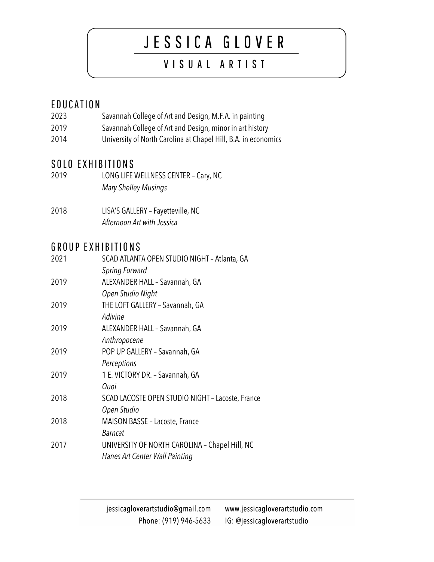# JESSICA GLOVER

# VISUAL ARTIST

### EDUCATION

- 2023 Savannah College of Art and Design, M.F.A. in painting
- 2019 Savannah College of Art and Design, minor in art history
- 2014 University of North Carolina at Chapel Hill, B.A. in economics

### SOLO EXHIBITIONS

- 2019 LONG LIFE WELLNESS CENTER Cary, NC *Mary Shelley Musings*
- 2018 LISA'S GALLERY –Fayetteville, NC *Afternoon Art with Jessica*

## GROUP EXHIBITIONS

| 2021 | SCAD ATLANTA OPEN STUDIO NIGHT - Atlanta, GA     |
|------|--------------------------------------------------|
|      | <b>Spring Forward</b>                            |
| 2019 | ALEXANDER HALL - Savannah, GA                    |
|      | Open Studio Night                                |
| 2019 | THE LOFT GALLERY - Savannah, GA                  |
|      | Adivine                                          |
| 2019 | ALEXANDER HALL - Savannah, GA                    |
|      | Anthropocene                                     |
| 2019 | POP UP GALLERY - Savannah, GA                    |
|      | Perceptions                                      |
| 2019 | 1 E. VICTORY DR. - Savannah, GA                  |
|      | Quoi                                             |
| 2018 | SCAD LACOSTE OPEN STUDIO NIGHT - Lacoste, France |
|      | Open Studio                                      |
| 2018 | MAISON BASSE - Lacoste, France                   |
|      | <b>Barncat</b>                                   |
| 2017 | UNIVERSITY OF NORTH CAROLINA - Chapel Hill, NC   |
|      | Hanes Art Center Wall Painting                   |